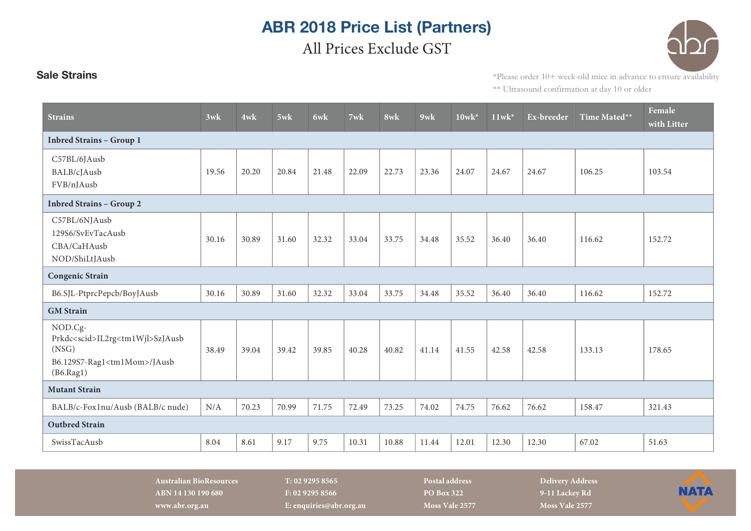## **ABR 2018 Price List (Partners)** All Prices Exclude GST

**Sale Strains** \*Please order 10+ week-old mice in advance to ensure availability \*\* Ultrasound confirmation at day 10 or older

| <b>Strains</b>                                                                                                               | 3wk   | 4wk   | 5wk   | 6wk   | 7wk   | 8wk   | $9$ wk | $10$ wk* | $11$ wk <sup>*</sup> | Ex-breeder | Time Mated** | Female<br>with Litter |
|------------------------------------------------------------------------------------------------------------------------------|-------|-------|-------|-------|-------|-------|--------|----------|----------------------|------------|--------------|-----------------------|
| <b>Inbred Strains - Group 1</b>                                                                                              |       |       |       |       |       |       |        |          |                      |            |              |                       |
| C57BL/6JAusb<br>BALB/cJAusb<br>FVB/nJAusb                                                                                    | 19.56 | 20.20 | 20.84 | 21.48 | 22.09 | 22.73 | 23.36  | 24.07    | 24.67                | 24.67      | 106.25       | 103.54                |
| <b>Inbred Strains - Group 2</b>                                                                                              |       |       |       |       |       |       |        |          |                      |            |              |                       |
| C57BL/6NJAusb<br>129S6/SvEvTacAusb<br>CBA/CaHAusb<br>NOD/ShiLtJAusb                                                          | 30.16 | 30.89 | 31.60 | 32.32 | 33.04 | 33.75 | 34.48  | 35.52    | 36.40                | 36.40      | 116.62       | 152.72                |
| <b>Congenic Strain</b>                                                                                                       |       |       |       |       |       |       |        |          |                      |            |              |                       |
| B6.SJL-PtprcPepcb/BoyJAusb                                                                                                   | 30.16 | 30.89 | 31.60 | 32.32 | 33.04 | 33.75 | 34.48  | 35.52    | 36.40                | 36.40      | 116.62       | 152.72                |
| <b>GM</b> Strain                                                                                                             |       |       |       |       |       |       |        |          |                      |            |              |                       |
| NOD.Cg-<br>Prkdc <scid>IL2rg<tm1wjl>SzJAusb<br/>(NSG)<br/>B6.129S7-Rag1<tm1mom>/JAusb<br/>(B6.Rag1)</tm1mom></tm1wjl></scid> | 38.49 | 39.04 | 39.42 | 39.85 | 40.28 | 40.82 | 41.14  | 41.55    | 42.58                | 42.58      | 133.13       | 178.65                |
| <b>Mutant Strain</b>                                                                                                         |       |       |       |       |       |       |        |          |                      |            |              |                       |
| BALB/c-Fox1nu/Ausb (BALB/c nude)                                                                                             | N/A   | 70.23 | 70.99 | 71.75 | 72.49 | 73.25 | 74.02  | 74.75    | 76.62                | 76.62      | 158.47       | 321.43                |
| <b>Outbred Strain</b>                                                                                                        |       |       |       |       |       |       |        |          |                      |            |              |                       |
| SwissTacAusb                                                                                                                 | 8.04  | 8.61  | 9.17  | 9.75  | 10.31 | 10.88 | 11.44  | 12.01    | 12.30                | 12.30      | 67.02        | 51.63                 |

**Australian BioResources T: 02 9295 8565 Postal address Delivery Address ABN 14 130 190 680 F: 02 9295 8566 PO Box 322 9-11 Lackey Rd www.abr.org.au E: enquiries@abr.org.au Moss Vale 2577 Moss Vale 2577**